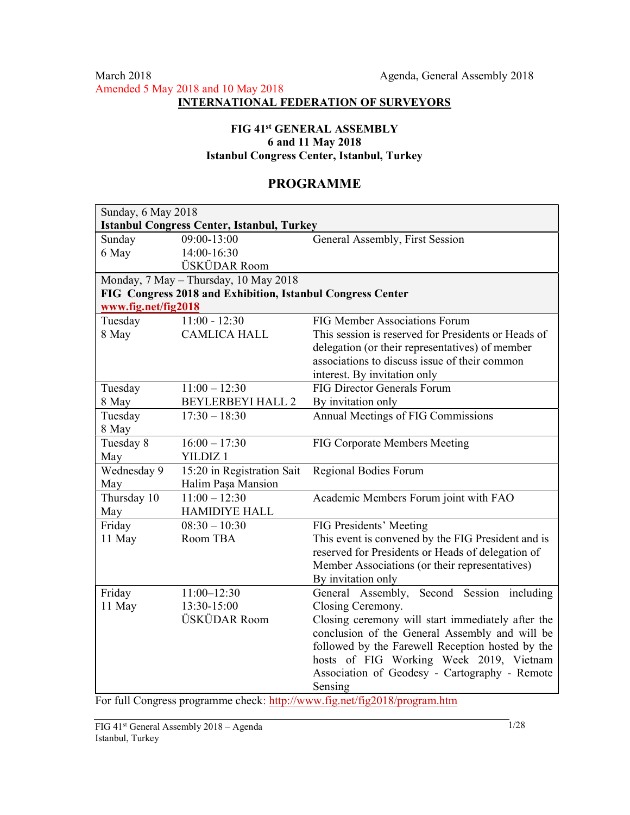## FIG 41st GENERAL ASSEMBLY 6 and 11 May 2018 Istanbul Congress Center, Istanbul, Turkey

# PROGRAMME

| Sunday, 6 May 2018  |                                                            |                                                     |
|---------------------|------------------------------------------------------------|-----------------------------------------------------|
|                     | <b>Istanbul Congress Center, Istanbul, Turkey</b>          |                                                     |
| Sunday              | 09:00-13:00                                                | General Assembly, First Session                     |
| 6 May               | 14:00-16:30                                                |                                                     |
|                     | ÜSKÜDAR Room                                               |                                                     |
|                     | Monday, 7 May - Thursday, 10 May 2018                      |                                                     |
|                     | FIG Congress 2018 and Exhibition, Istanbul Congress Center |                                                     |
| www.fig.net/fig2018 |                                                            |                                                     |
| Tuesday             | $11:00 - 12:30$                                            | FIG Member Associations Forum                       |
| 8 May               | <b>CAMLICA HALL</b>                                        | This session is reserved for Presidents or Heads of |
|                     |                                                            | delegation (or their representatives) of member     |
|                     |                                                            | associations to discuss issue of their common       |
|                     |                                                            | interest. By invitation only                        |
| Tuesday             | $11:00 - 12:30$                                            | <b>FIG Director Generals Forum</b>                  |
| 8 May               | <b>BEYLERBEYI HALL 2</b>                                   | By invitation only                                  |
| Tuesday             | $17:30 - 18:30$                                            | Annual Meetings of FIG Commissions                  |
| 8 May               |                                                            |                                                     |
| Tuesday 8           | $\frac{16:00-17:30}{2}$                                    | FIG Corporate Members Meeting                       |
| May                 | YILDIZ <sub>1</sub>                                        |                                                     |
| Wednesday 9         | 15:20 in Registration Sait                                 | Regional Bodies Forum                               |
| May                 | Halim Paşa Mansion                                         |                                                     |
| Thursday 10         | $11:00 - 12:30$                                            | Academic Members Forum joint with FAO               |
| May                 | <b>HAMIDIYE HALL</b>                                       |                                                     |
| Friday              | $08:30 - 10:30$                                            | FIG Presidents' Meeting                             |
| 11 May              | Room TBA                                                   | This event is convened by the FIG President and is  |
|                     |                                                            | reserved for Presidents or Heads of delegation of   |
|                     |                                                            | Member Associations (or their representatives)      |
|                     |                                                            | By invitation only                                  |
| Friday              | $11:00 - 12:30$                                            | General Assembly, Second Session including          |
| 11 May              | 13:30-15:00                                                | Closing Ceremony.                                   |
|                     | ÜSKÜDAR Room                                               | Closing ceremony will start immediately after the   |
|                     |                                                            | conclusion of the General Assembly and will be      |
|                     |                                                            | followed by the Farewell Reception hosted by the    |
|                     |                                                            | hosts of FIG Working Week 2019, Vietnam             |
|                     |                                                            | Association of Geodesy - Cartography - Remote       |
|                     |                                                            | Sensing                                             |

For full Congress programme check: http://www.fig.net/fig2018/program.htm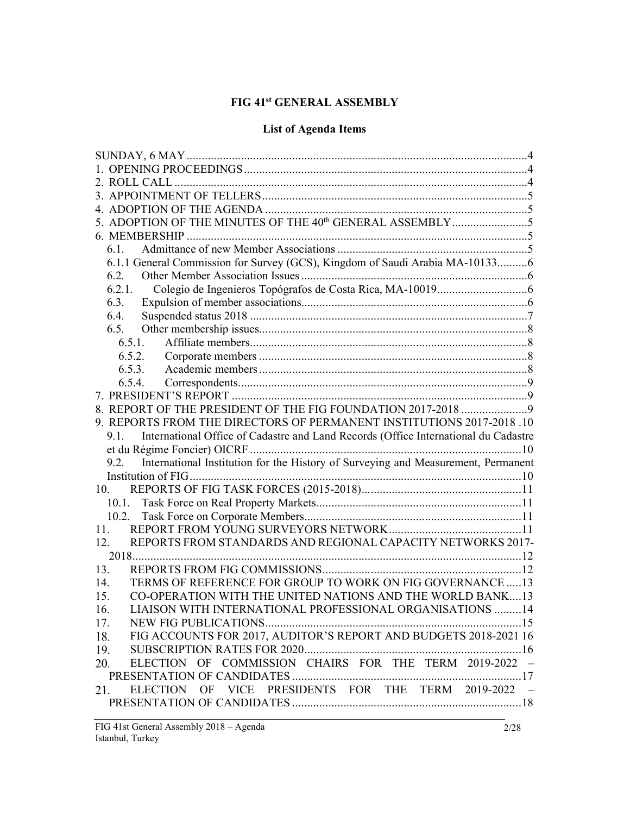# FIG 41st GENERAL ASSEMBLY

# List of Agenda Items

|        | 5. ADOPTION OF THE MINUTES OF THE 40th GENERAL ASSEMBLY5                            |  |
|--------|-------------------------------------------------------------------------------------|--|
|        |                                                                                     |  |
| 6.1.   |                                                                                     |  |
|        | 6.1.1 General Commission for Survey (GCS), Kingdom of Saudi Arabia MA-101336        |  |
| 6.2.   |                                                                                     |  |
| 6.2.1. |                                                                                     |  |
| 6.3.   |                                                                                     |  |
| 6.4.   |                                                                                     |  |
| 6.5.   |                                                                                     |  |
|        | 6.5.1.                                                                              |  |
|        | 6.5.2.                                                                              |  |
|        | 6.5.3.                                                                              |  |
|        | 6.5.4.                                                                              |  |
|        |                                                                                     |  |
|        | 8. REPORT OF THE PRESIDENT OF THE FIG FOUNDATION 2017-2018  9                       |  |
|        | 9. REPORTS FROM THE DIRECTORS OF PERMANENT INSTITUTIONS 2017-2018 .10               |  |
| 9.1.   | International Office of Cadastre and Land Records (Office International du Cadastre |  |
|        |                                                                                     |  |
| 9.2.   | International Institution for the History of Surveying and Measurement, Permanent   |  |
|        |                                                                                     |  |
| 10.    |                                                                                     |  |
|        |                                                                                     |  |
|        |                                                                                     |  |
| 11.    |                                                                                     |  |
| 12.    | REPORTS FROM STANDARDS AND REGIONAL CAPACITY NETWORKS 2017-                         |  |
|        |                                                                                     |  |
| 13.    |                                                                                     |  |
| 14.    | TERMS OF REFERENCE FOR GROUP TO WORK ON FIG GOVERNANCE  13                          |  |
| 15.    | CO-OPERATION WITH THE UNITED NATIONS AND THE WORLD BANK13                           |  |
| 16.    | LIAISON WITH INTERNATIONAL PROFESSIONAL ORGANISATIONS                               |  |
| 17.    |                                                                                     |  |
| 18.    | FIG ACCOUNTS FOR 2017, AUDITOR'S REPORT AND BUDGETS 2018-2021 16                    |  |
|        |                                                                                     |  |
| 19.    | ELECTION OF COMMISSION CHAIRS FOR THE TERM 2019-2022 -                              |  |
| 20.    |                                                                                     |  |
|        |                                                                                     |  |
| 21.    | ELECTION OF VICE PRESIDENTS FOR THE TERM 2019-2022 -                                |  |
|        |                                                                                     |  |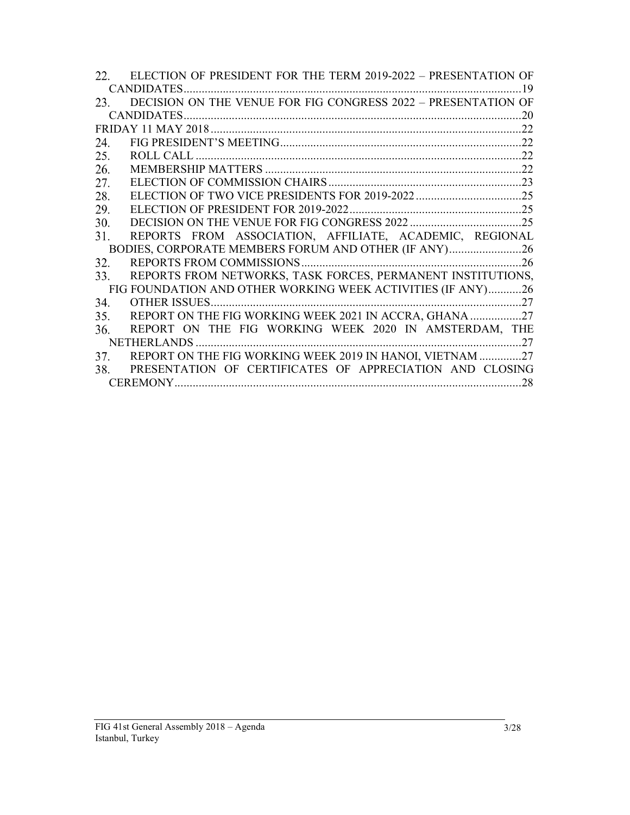|     | 22. ELECTION OF PRESIDENT FOR THE TERM 2019-2022 – PRESENTATION OF |
|-----|--------------------------------------------------------------------|
|     |                                                                    |
|     | 23. DECISION ON THE VENUE FOR FIG CONGRESS 2022 - PRESENTATION OF  |
|     |                                                                    |
|     |                                                                    |
| 24. |                                                                    |
| 25. |                                                                    |
| 26. |                                                                    |
| 27. |                                                                    |
| 28. |                                                                    |
| 29. |                                                                    |
| 30. |                                                                    |
| 31. | REPORTS FROM ASSOCIATION, AFFILIATE, ACADEMIC, REGIONAL            |
|     | BODIES, CORPORATE MEMBERS FORUM AND OTHER (IF ANY)26               |
| 32. |                                                                    |
| 33. | REPORTS FROM NETWORKS, TASK FORCES, PERMANENT INSTITUTIONS,        |
|     | FIG FOUNDATION AND OTHER WORKING WEEK ACTIVITIES (IF ANY)26        |
| 34. |                                                                    |
| 35. | REPORT ON THE FIG WORKING WEEK 2021 IN ACCRA, GHANA27              |
| 36. | REPORT ON THE FIG WORKING WEEK 2020 IN AMSTERDAM, THE              |
|     |                                                                    |
| 37. | REPORT ON THE FIG WORKING WEEK 2019 IN HANOI, VIETNAM 27           |
|     | 38. PRESENTATION OF CERTIFICATES OF APPRECIATION AND CLOSING       |
|     |                                                                    |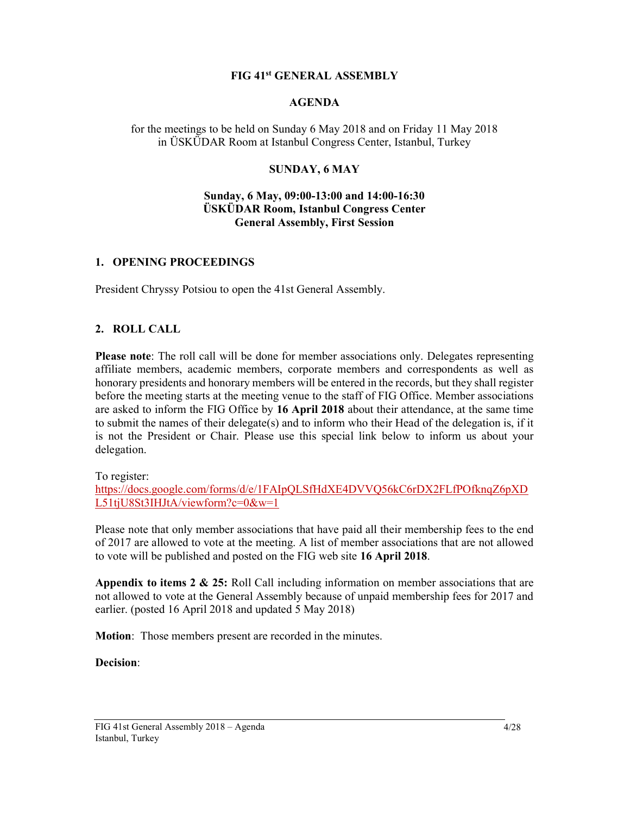#### FIG 41st GENERAL ASSEMBLY

#### AGENDA

for the meetings to be held on Sunday 6 May 2018 and on Friday 11 May 2018 in ÜSKÜDAR Room at Istanbul Congress Center, Istanbul, Turkey

### SUNDAY, 6 MAY

#### Sunday, 6 May, 09:00-13:00 and 14:00-16:30 ÜSKÜDAR Room, Istanbul Congress Center General Assembly, First Session

#### 1. OPENING PROCEEDINGS

President Chryssy Potsiou to open the 41st General Assembly.

#### 2. ROLL CALL

Please note: The roll call will be done for member associations only. Delegates representing affiliate members, academic members, corporate members and correspondents as well as honorary presidents and honorary members will be entered in the records, but they shall register before the meeting starts at the meeting venue to the staff of FIG Office. Member associations are asked to inform the FIG Office by 16 April 2018 about their attendance, at the same time to submit the names of their delegate(s) and to inform who their Head of the delegation is, if it is not the President or Chair. Please use this special link below to inform us about your delegation.

To register:

https://docs.google.com/forms/d/e/1FAIpQLSfHdXE4DVVQ56kC6rDX2FLfPOfknqZ6pXD L51tjU8St3IHJtA/viewform?c=0&w=1

Please note that only member associations that have paid all their membership fees to the end of 2017 are allowed to vote at the meeting. A list of member associations that are not allowed to vote will be published and posted on the FIG web site 16 April 2018.

Appendix to items 2 & 25: Roll Call including information on member associations that are not allowed to vote at the General Assembly because of unpaid membership fees for 2017 and earlier. (posted 16 April 2018 and updated 5 May 2018)

Motion: Those members present are recorded in the minutes.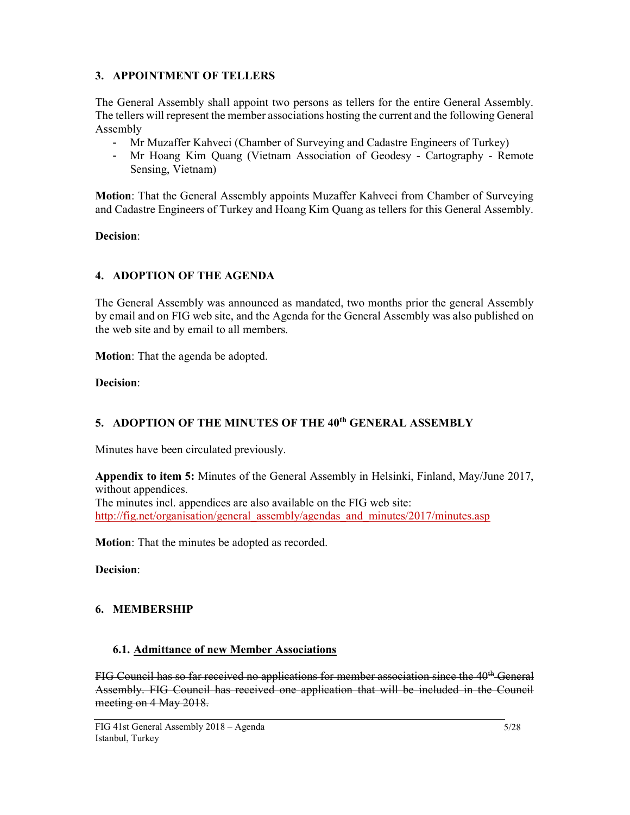## 3. APPOINTMENT OF TELLERS

The General Assembly shall appoint two persons as tellers for the entire General Assembly. The tellers will represent the member associations hosting the current and the following General Assembly

- Mr Muzaffer Kahveci (Chamber of Surveying and Cadastre Engineers of Turkey)
- Mr Hoang Kim Quang (Vietnam Association of Geodesy Cartography Remote Sensing, Vietnam)

Motion: That the General Assembly appoints Muzaffer Kahveci from Chamber of Surveying and Cadastre Engineers of Turkey and Hoang Kim Quang as tellers for this General Assembly.

### Decision:

## 4. ADOPTION OF THE AGENDA

The General Assembly was announced as mandated, two months prior the general Assembly by email and on FIG web site, and the Agenda for the General Assembly was also published on the web site and by email to all members.

Motion: That the agenda be adopted.

Decision:

# 5. ADOPTION OF THE MINUTES OF THE 40<sup>th</sup> GENERAL ASSEMBLY

Minutes have been circulated previously.

Appendix to item 5: Minutes of the General Assembly in Helsinki, Finland, May/June 2017, without appendices. The minutes incl. appendices are also available on the FIG web site: http://fig.net/organisation/general\_assembly/agendas\_and\_minutes/2017/minutes.asp

Motion: That the minutes be adopted as recorded.

Decision:

# 6. MEMBERSHIP

# 6.1. Admittance of new Member Associations

FIG Council has so far received no applications for member association since the 40<sup>th</sup> General Assembly. FIG Council has received one application that will be included in the Council meeting on 4 May 2018.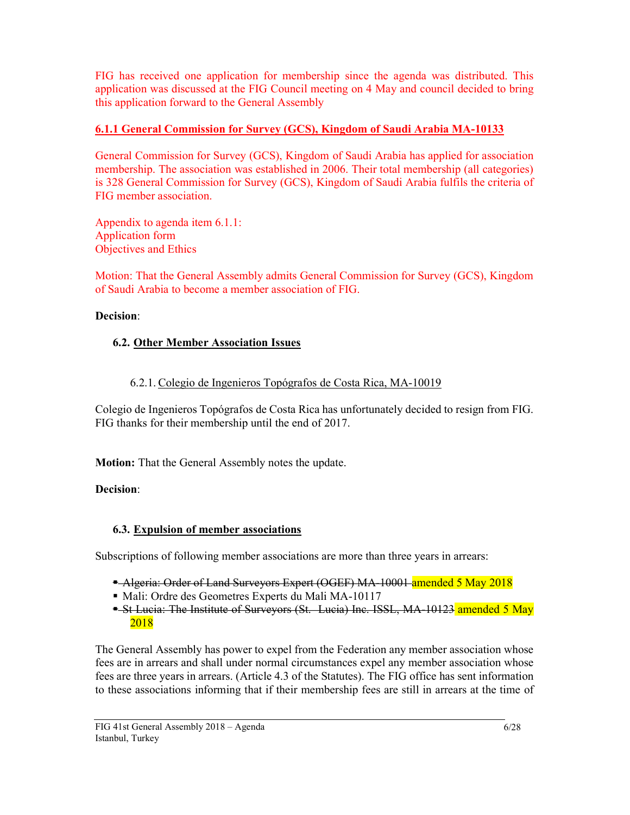FIG has received one application for membership since the agenda was distributed. This application was discussed at the FIG Council meeting on 4 May and council decided to bring this application forward to the General Assembly

# 6.1.1 General Commission for Survey (GCS), Kingdom of Saudi Arabia MA-10133

General Commission for Survey (GCS), Kingdom of Saudi Arabia has applied for association membership. The association was established in 2006. Their total membership (all categories) is 328 General Commission for Survey (GCS), Kingdom of Saudi Arabia fulfils the criteria of FIG member association.

Appendix to agenda item 6.1.1: Application form Objectives and Ethics

Motion: That the General Assembly admits General Commission for Survey (GCS), Kingdom of Saudi Arabia to become a member association of FIG.

# Decision:

# 6.2. Other Member Association Issues

# 6.2.1. Colegio de Ingenieros Topógrafos de Costa Rica, MA-10019

Colegio de Ingenieros Topógrafos de Costa Rica has unfortunately decided to resign from FIG. FIG thanks for their membership until the end of 2017.

Motion: That the General Assembly notes the update.

# Decision:

# 6.3. Expulsion of member associations

Subscriptions of following member associations are more than three years in arrears:

- Algeria: Order of Land Surveyors Expert (OGEF) MA-10001 amended 5 May 2018
- Mali: Ordre des Geometres Experts du Mali MA-10117
- St Lucia: The Institute of Surveyors (St. Lucia) Inc. ISSL, MA-10123 amended 5 May 2018

The General Assembly has power to expel from the Federation any member association whose fees are in arrears and shall under normal circumstances expel any member association whose fees are three years in arrears. (Article 4.3 of the Statutes). The FIG office has sent information to these associations informing that if their membership fees are still in arrears at the time of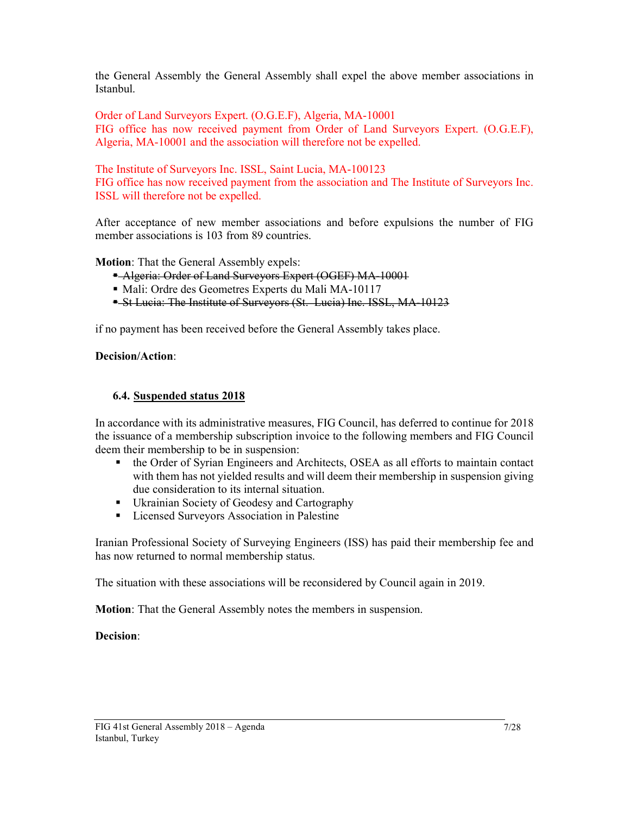the General Assembly the General Assembly shall expel the above member associations in Istanbul.

Order of Land Surveyors Expert. (O.G.E.F), Algeria, MA-10001 FIG office has now received payment from Order of Land Surveyors Expert. (O.G.E.F), Algeria, MA-10001 and the association will therefore not be expelled.

The Institute of Surveyors Inc. ISSL, Saint Lucia, MA-100123 FIG office has now received payment from the association and The Institute of Surveyors Inc. ISSL will therefore not be expelled.

After acceptance of new member associations and before expulsions the number of FIG member associations is 103 from 89 countries.

Motion: That the General Assembly expels:

- Algeria: Order of Land Surveyors Expert (OGEF) MA-10001
- Mali: Ordre des Geometres Experts du Mali MA-10117
- St Lucia: The Institute of Surveyors (St. Lucia) Inc. ISSL, MA-10123

if no payment has been received before the General Assembly takes place.

#### Decision/Action:

#### 6.4. Suspended status 2018

In accordance with its administrative measures, FIG Council, has deferred to continue for 2018 the issuance of a membership subscription invoice to the following members and FIG Council deem their membership to be in suspension:

- the Order of Syrian Engineers and Architects, OSEA as all efforts to maintain contact with them has not yielded results and will deem their membership in suspension giving due consideration to its internal situation.
- Ukrainian Society of Geodesy and Cartography
- **Exercise Surveyors Association in Palestine**

Iranian Professional Society of Surveying Engineers (ISS) has paid their membership fee and has now returned to normal membership status.

The situation with these associations will be reconsidered by Council again in 2019.

Motion: That the General Assembly notes the members in suspension.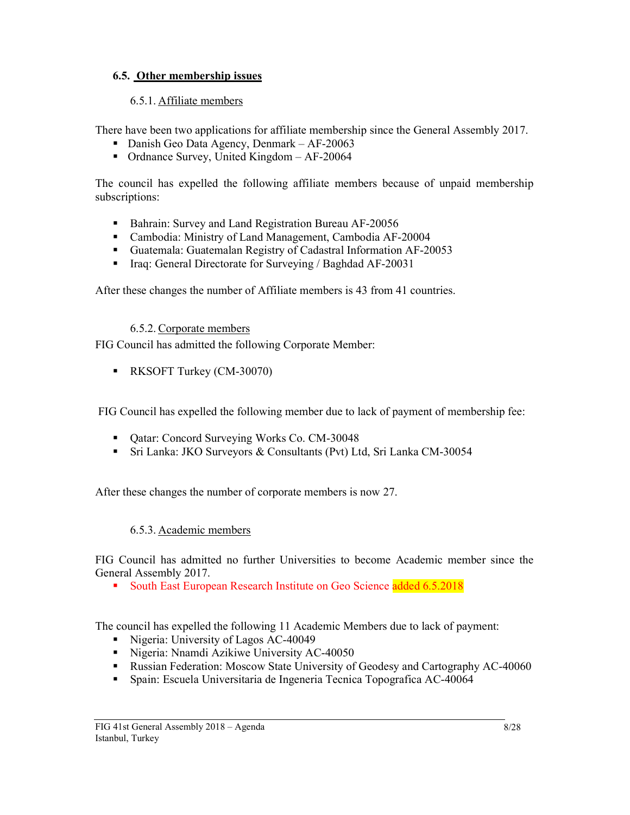## 6.5. Other membership issues

## 6.5.1. Affiliate members

There have been two applications for affiliate membership since the General Assembly 2017.

- Danish Geo Data Agency, Denmark AF-20063
- Ordnance Survey, United Kingdom  $AF-20064$

The council has expelled the following affiliate members because of unpaid membership subscriptions:

- Bahrain: Survey and Land Registration Bureau AF-20056
- Cambodia: Ministry of Land Management, Cambodia AF-20004
- Guatemala: Guatemalan Registry of Cadastral Information AF-20053
- Iraq: General Directorate for Surveying / Baghdad AF-20031

After these changes the number of Affiliate members is 43 from 41 countries.

6.5.2. Corporate members

FIG Council has admitted the following Corporate Member:

**RKSOFT Turkey (CM-30070)** 

FIG Council has expelled the following member due to lack of payment of membership fee:

- Qatar: Concord Surveying Works Co. CM-30048
- Sri Lanka: JKO Surveyors & Consultants (Pvt) Ltd, Sri Lanka CM-30054

After these changes the number of corporate members is now 27.

### 6.5.3. Academic members

FIG Council has admitted no further Universities to become Academic member since the General Assembly 2017.

South East European Research Institute on Geo Science added 6.5.2018

The council has expelled the following 11 Academic Members due to lack of payment:

- Nigeria: University of Lagos AC-40049
- Nigeria: Nnamdi Azikiwe University AC-40050
- **Russian Federation: Moscow State University of Geodesy and Cartography AC-40060**
- Spain: Escuela Universitaria de Ingeneria Tecnica Topografica AC-40064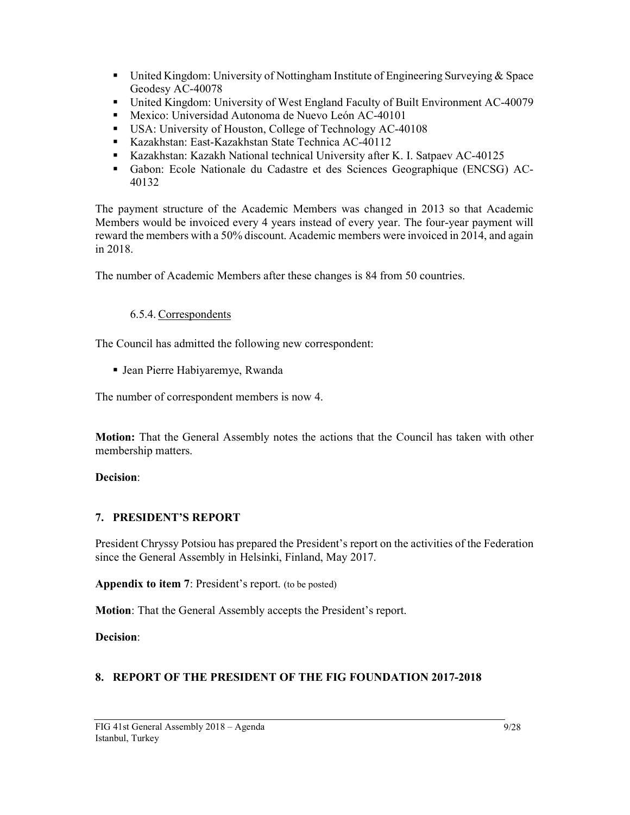- United Kingdom: University of Nottingham Institute of Engineering Surveying & Space Geodesy AC-40078
- United Kingdom: University of West England Faculty of Built Environment AC-40079
- Mexico: Universidad Autonoma de Nuevo León AC-40101
- USA: University of Houston, College of Technology AC-40108
- Kazakhstan: East-Kazakhstan State Technica AC-40112
- Kazakhstan: Kazakh National technical University after K. I. Satpaev AC-40125
- Gabon: Ecole Nationale du Cadastre et des Sciences Geographique (ENCSG) AC-40132

The payment structure of the Academic Members was changed in 2013 so that Academic Members would be invoiced every 4 years instead of every year. The four-year payment will reward the members with a 50% discount. Academic members were invoiced in 2014, and again in 2018.

The number of Academic Members after these changes is 84 from 50 countries.

# 6.5.4. Correspondents

The Council has admitted the following new correspondent:

Jean Pierre Habiyaremye, Rwanda

The number of correspondent members is now 4.

Motion: That the General Assembly notes the actions that the Council has taken with other membership matters.

### Decision:

# 7. PRESIDENT'S REPORT

President Chryssy Potsiou has prepared the President's report on the activities of the Federation since the General Assembly in Helsinki, Finland, May 2017.

Appendix to item 7: President's report. (to be posted)

Motion: That the General Assembly accepts the President's report.

Decision:

# 8. REPORT OF THE PRESIDENT OF THE FIG FOUNDATION 2017-2018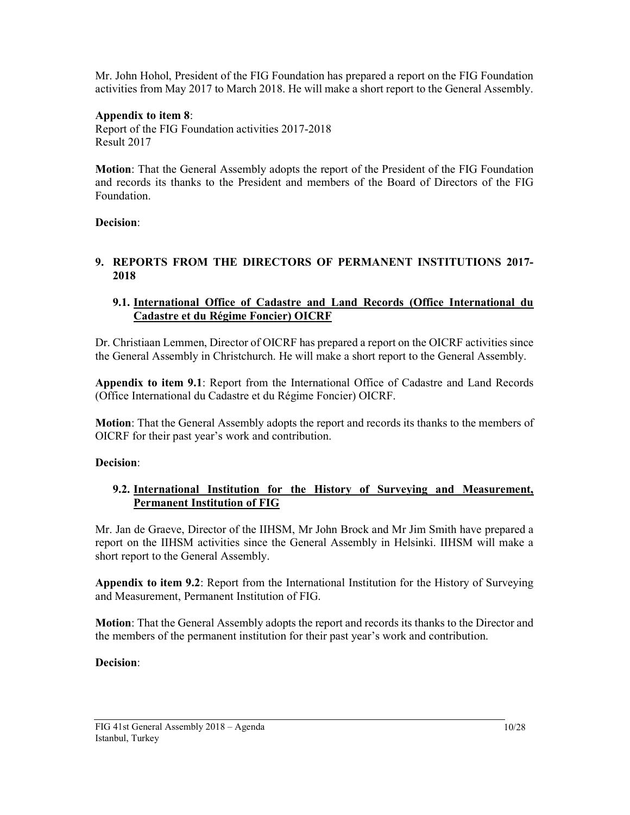Mr. John Hohol, President of the FIG Foundation has prepared a report on the FIG Foundation activities from May 2017 to March 2018. He will make a short report to the General Assembly.

## Appendix to item 8:

Report of the FIG Foundation activities 2017-2018 Result 2017

Motion: That the General Assembly adopts the report of the President of the FIG Foundation and records its thanks to the President and members of the Board of Directors of the FIG Foundation.

### Decision:

### 9. REPORTS FROM THE DIRECTORS OF PERMANENT INSTITUTIONS 2017- 2018

## 9.1. International Office of Cadastre and Land Records (Office International du Cadastre et du Régime Foncier) OICRF

Dr. Christiaan Lemmen, Director of OICRF has prepared a report on the OICRF activities since the General Assembly in Christchurch. He will make a short report to the General Assembly.

Appendix to item 9.1: Report from the International Office of Cadastre and Land Records (Office International du Cadastre et du Régime Foncier) OICRF.

Motion: That the General Assembly adopts the report and records its thanks to the members of OICRF for their past year's work and contribution.

### Decision:

## 9.2. International Institution for the History of Surveying and Measurement, Permanent Institution of FIG

Mr. Jan de Graeve, Director of the IIHSM, Mr John Brock and Mr Jim Smith have prepared a report on the IIHSM activities since the General Assembly in Helsinki. IIHSM will make a short report to the General Assembly.

Appendix to item 9.2: Report from the International Institution for the History of Surveying and Measurement, Permanent Institution of FIG.

Motion: That the General Assembly adopts the report and records its thanks to the Director and the members of the permanent institution for their past year's work and contribution.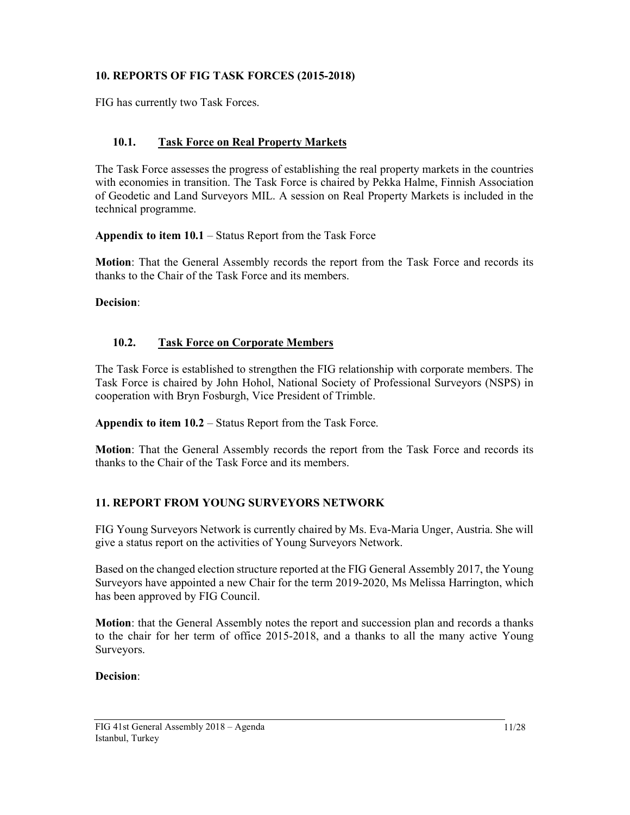# 10. REPORTS OF FIG TASK FORCES (2015-2018)

FIG has currently two Task Forces.

# 10.1. Task Force on Real Property Markets

The Task Force assesses the progress of establishing the real property markets in the countries with economies in transition. The Task Force is chaired by Pekka Halme, Finnish Association of Geodetic and Land Surveyors MIL. A session on Real Property Markets is included in the technical programme.

Appendix to item 10.1 – Status Report from the Task Force

Motion: That the General Assembly records the report from the Task Force and records its thanks to the Chair of the Task Force and its members.

#### Decision:

### 10.2. Task Force on Corporate Members

The Task Force is established to strengthen the FIG relationship with corporate members. The Task Force is chaired by John Hohol, National Society of Professional Surveyors (NSPS) in cooperation with Bryn Fosburgh, Vice President of Trimble.

Appendix to item 10.2 – Status Report from the Task Force.

Motion: That the General Assembly records the report from the Task Force and records its thanks to the Chair of the Task Force and its members.

### 11. REPORT FROM YOUNG SURVEYORS NETWORK

FIG Young Surveyors Network is currently chaired by Ms. Eva-Maria Unger, Austria. She will give a status report on the activities of Young Surveyors Network.

Based on the changed election structure reported at the FIG General Assembly 2017, the Young Surveyors have appointed a new Chair for the term 2019-2020, Ms Melissa Harrington, which has been approved by FIG Council.

Motion: that the General Assembly notes the report and succession plan and records a thanks to the chair for her term of office 2015-2018, and a thanks to all the many active Young Surveyors.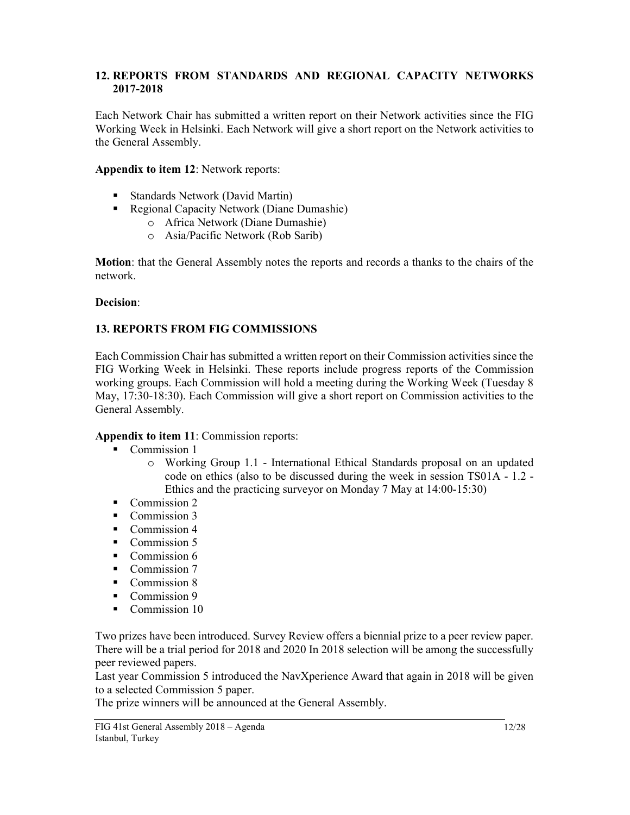### 12. REPORTS FROM STANDARDS AND REGIONAL CAPACITY NETWORKS 2017-2018

Each Network Chair has submitted a written report on their Network activities since the FIG Working Week in Helsinki. Each Network will give a short report on the Network activities to the General Assembly.

## Appendix to item 12: Network reports:

- Standards Network (David Martin)
- Regional Capacity Network (Diane Dumashie)
	- o Africa Network (Diane Dumashie)
	- o Asia/Pacific Network (Rob Sarib)

Motion: that the General Assembly notes the reports and records a thanks to the chairs of the network.

### Decision:

## 13. REPORTS FROM FIG COMMISSIONS

Each Commission Chair has submitted a written report on their Commission activities since the FIG Working Week in Helsinki. These reports include progress reports of the Commission working groups. Each Commission will hold a meeting during the Working Week (Tuesday 8 May, 17:30-18:30). Each Commission will give a short report on Commission activities to the General Assembly.

### Appendix to item 11: Commission reports:

- Commission 1
	- o Working Group 1.1 International Ethical Standards proposal on an updated code on ethics (also to be discussed during the week in session TS01A - 1.2 - Ethics and the practicing surveyor on Monday 7 May at 14:00-15:30)
- Commission 2
- Commission 3
- Commission 4
- Commission 5
- Commission 6
- Commission 7
- Commission 8
- Commission 9
- Commission 10

Two prizes have been introduced. Survey Review offers a biennial prize to a peer review paper. There will be a trial period for 2018 and 2020 In 2018 selection will be among the successfully peer reviewed papers.

Last year Commission 5 introduced the NavXperience Award that again in 2018 will be given to a selected Commission 5 paper.

The prize winners will be announced at the General Assembly.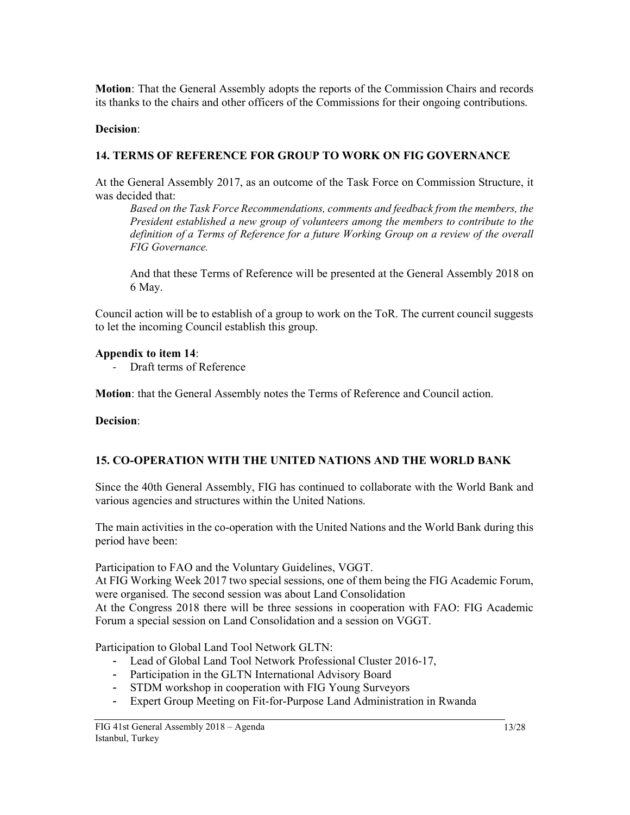Motion: That the General Assembly adopts the reports of the Commission Chairs and records its thanks to the chairs and other officers of the Commissions for their ongoing contributions.

## Decision:

# 14. TERMS OF REFERENCE FOR GROUP TO WORK ON FIG GOVERNANCE

At the General Assembly 2017, as an outcome of the Task Force on Commission Structure, it was decided that:

Based on the Task Force Recommendations, comments and feedback from the members, the President established a new group of volunteers among the members to contribute to the definition of a Terms of Reference for a future Working Group on a review of the overall FIG Governance.

And that these Terms of Reference will be presented at the General Assembly 2018 on 6 May.

Council action will be to establish of a group to work on the ToR. The current council suggests to let the incoming Council establish this group.

## Appendix to item 14:

- Draft terms of Reference

Motion: that the General Assembly notes the Terms of Reference and Council action.

Decision:

# 15. CO-OPERATION WITH THE UNITED NATIONS AND THE WORLD BANK

Since the 40th General Assembly, FIG has continued to collaborate with the World Bank and various agencies and structures within the United Nations.

The main activities in the co-operation with the United Nations and the World Bank during this period have been:

Participation to FAO and the Voluntary Guidelines, VGGT.

At FIG Working Week 2017 two special sessions, one of them being the FIG Academic Forum, were organised. The second session was about Land Consolidation

At the Congress 2018 there will be three sessions in cooperation with FAO: FIG Academic Forum a special session on Land Consolidation and a session on VGGT.

Participation to Global Land Tool Network GLTN:

- Lead of Global Land Tool Network Professional Cluster 2016-17,
- Participation in the GLTN International Advisory Board
- STDM workshop in cooperation with FIG Young Surveyors
- Expert Group Meeting on Fit-for-Purpose Land Administration in Rwanda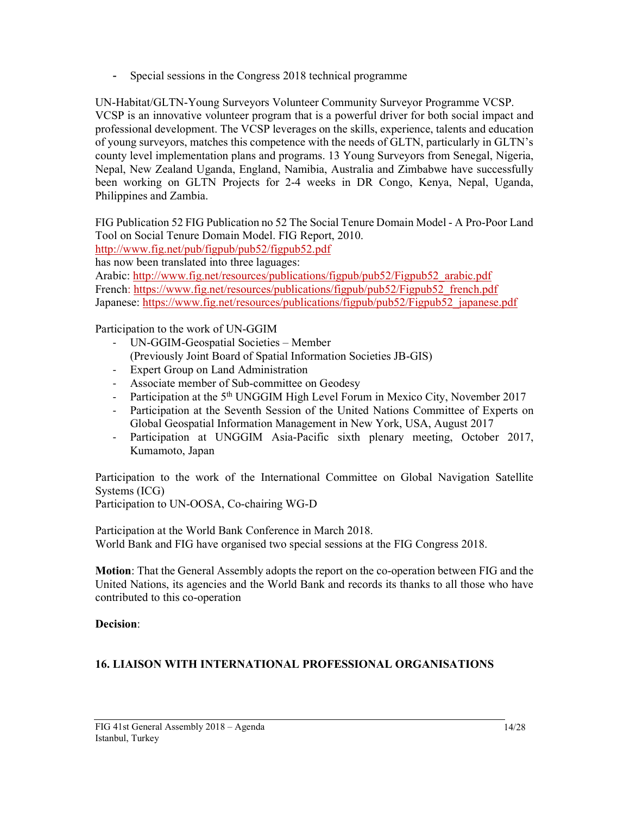Special sessions in the Congress 2018 technical programme

UN-Habitat/GLTN-Young Surveyors Volunteer Community Surveyor Programme VCSP. VCSP is an innovative volunteer program that is a powerful driver for both social impact and professional development. The VCSP leverages on the skills, experience, talents and education of young surveyors, matches this competence with the needs of GLTN, particularly in GLTN's county level implementation plans and programs. 13 Young Surveyors from Senegal, Nigeria, Nepal, New Zealand Uganda, England, Namibia, Australia and Zimbabwe have successfully been working on GLTN Projects for 2-4 weeks in DR Congo, Kenya, Nepal, Uganda, Philippines and Zambia.

FIG Publication 52 FIG Publication no 52 The Social Tenure Domain Model - A Pro-Poor Land Tool on Social Tenure Domain Model. FIG Report, 2010.

http://www.fig.net/pub/figpub/pub52/figpub52.pdf

has now been translated into three laguages:

Arabic: http://www.fig.net/resources/publications/figpub/pub52/Figpub52\_arabic.pdf French: https://www.fig.net/resources/publications/figpub/pub52/Figpub52\_french.pdf Japanese: https://www.fig.net/resources/publications/figpub/pub52/Figpub52\_japanese.pdf

Participation to the work of UN-GGIM

- UN-GGIM-Geospatial Societies Member
	- (Previously Joint Board of Spatial Information Societies JB-GIS)
- Expert Group on Land Administration
- Associate member of Sub-committee on Geodesy
- Participation at the 5<sup>th</sup> UNGGIM High Level Forum in Mexico City, November 2017
- Participation at the Seventh Session of the United Nations Committee of Experts on Global Geospatial Information Management in New York, USA, August 2017
- Participation at UNGGIM Asia-Pacific sixth plenary meeting, October 2017, Kumamoto, Japan

Participation to the work of the International Committee on Global Navigation Satellite Systems (ICG)

Participation to UN-OOSA, Co-chairing WG-D

Participation at the World Bank Conference in March 2018. World Bank and FIG have organised two special sessions at the FIG Congress 2018.

Motion: That the General Assembly adopts the report on the co-operation between FIG and the United Nations, its agencies and the World Bank and records its thanks to all those who have contributed to this co-operation

### Decision:

# 16. LIAISON WITH INTERNATIONAL PROFESSIONAL ORGANISATIONS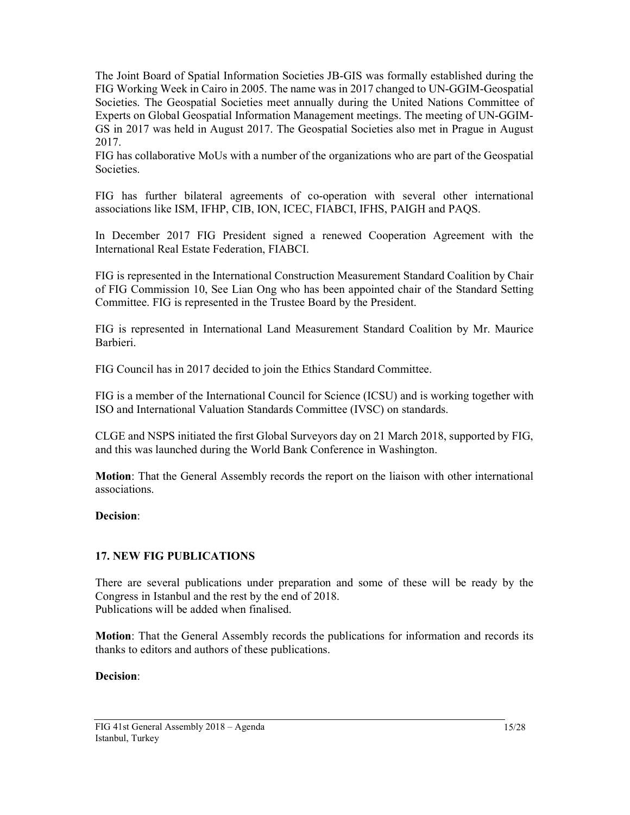The Joint Board of Spatial Information Societies JB-GIS was formally established during the FIG Working Week in Cairo in 2005. The name was in 2017 changed to UN-GGIM-Geospatial Societies. The Geospatial Societies meet annually during the United Nations Committee of Experts on Global Geospatial Information Management meetings. The meeting of UN-GGIM-GS in 2017 was held in August 2017. The Geospatial Societies also met in Prague in August 2017.

FIG has collaborative MoUs with a number of the organizations who are part of the Geospatial Societies.

FIG has further bilateral agreements of co-operation with several other international associations like ISM, IFHP, CIB, ION, ICEC, FIABCI, IFHS, PAIGH and PAQS.

In December 2017 FIG President signed a renewed Cooperation Agreement with the International Real Estate Federation, FIABCI.

FIG is represented in the International Construction Measurement Standard Coalition by Chair of FIG Commission 10, See Lian Ong who has been appointed chair of the Standard Setting Committee. FIG is represented in the Trustee Board by the President.

FIG is represented in International Land Measurement Standard Coalition by Mr. Maurice Barbieri.

FIG Council has in 2017 decided to join the Ethics Standard Committee.

FIG is a member of the International Council for Science (ICSU) and is working together with ISO and International Valuation Standards Committee (IVSC) on standards.

CLGE and NSPS initiated the first Global Surveyors day on 21 March 2018, supported by FIG, and this was launched during the World Bank Conference in Washington.

Motion: That the General Assembly records the report on the liaison with other international associations.

#### Decision:

### 17. NEW FIG PUBLICATIONS

There are several publications under preparation and some of these will be ready by the Congress in Istanbul and the rest by the end of 2018. Publications will be added when finalised.

Motion: That the General Assembly records the publications for information and records its thanks to editors and authors of these publications.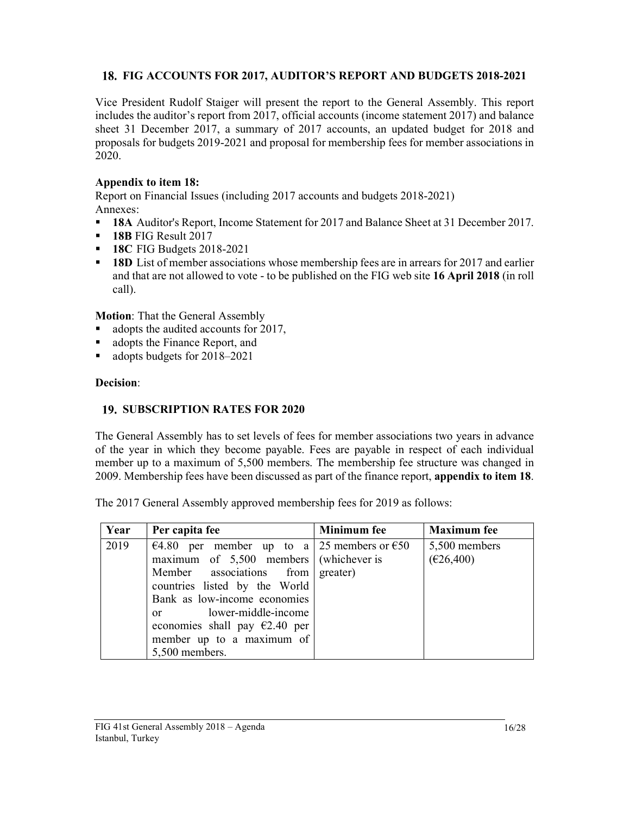# FIG ACCOUNTS FOR 2017, AUDITOR'S REPORT AND BUDGETS 2018-2021

Vice President Rudolf Staiger will present the report to the General Assembly. This report includes the auditor's report from 2017, official accounts (income statement 2017) and balance sheet 31 December 2017, a summary of 2017 accounts, an updated budget for 2018 and proposals for budgets 2019-2021 and proposal for membership fees for member associations in 2020.

## Appendix to item 18:

Report on Financial Issues (including 2017 accounts and budgets 2018-2021) Annexes:

- <sup>•</sup> 18A Auditor's Report, Income Statement for 2017 and Balance Sheet at 31 December 2017.
- **18B** FIG Result 2017
- **18C FIG Budgets 2018-2021**
- **18D** List of member associations whose membership fees are in arrears for 2017 and earlier and that are not allowed to vote - to be published on the FIG web site 16 April 2018 (in roll call).

Motion: That the General Assembly

- adopts the audited accounts for 2017,
- adopts the Finance Report, and
- adopts budgets for 2018–2021

## Decision:

## 19. SUBSCRIPTION RATES FOR 2020

The General Assembly has to set levels of fees for member associations two years in advance of the year in which they become payable. Fees are payable in respect of each individual member up to a maximum of 5,500 members. The membership fee structure was changed in 2009. Membership fees have been discussed as part of the finance report, appendix to item 18. The 2017 General Assembly approved membership fees for 2019 as follows:

| Year | Per capita fee                               | <b>Minimum</b> fee | <b>Maximum</b> fee |
|------|----------------------------------------------|--------------------|--------------------|
| 2019 | €4.80 per member up to a 25 members or $€50$ |                    | 5,500 members      |
|      | maximum of $5,500$ members (whichever is     |                    | (E26,400)          |
|      | Member associations from                     | greater)           |                    |
|      | countries listed by the World                |                    |                    |
|      | Bank as low-income economies                 |                    |                    |
|      | or lower-middle-income                       |                    |                    |
|      | economies shall pay $\epsilon$ 2.40 per      |                    |                    |
|      | member up to a maximum of                    |                    |                    |
|      | 5,500 members.                               |                    |                    |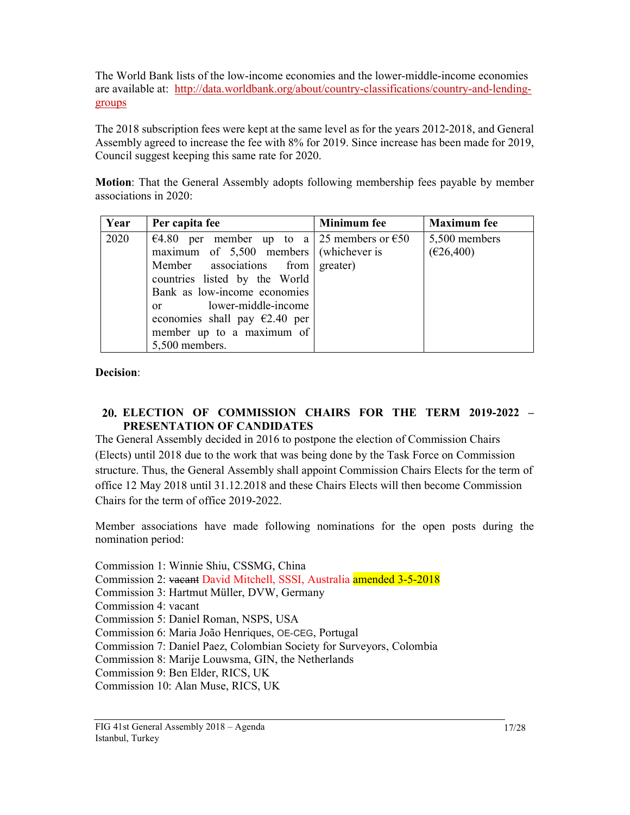The World Bank lists of the low-income economies and the lower-middle-income economies are available at: http://data.worldbank.org/about/country-classifications/country-and-lendinggroups

The 2018 subscription fees were kept at the same level as for the years 2012-2018, and General Assembly agreed to increase the fee with 8% for 2019. Since increase has been made for 2019, Council suggest keeping this same rate for 2020.

Motion: That the General Assembly adopts following membership fees payable by member associations in 2020:

| Year | Per capita fee                                                                                                                                                                                                                                                                                                   | <b>Minimum</b> fee | <b>Maximum</b> fee         |
|------|------------------------------------------------------------------------------------------------------------------------------------------------------------------------------------------------------------------------------------------------------------------------------------------------------------------|--------------------|----------------------------|
| 2020 | €4.80 per member up to a 25 members or €50<br>maximum of $5,500$ members (whichever is<br>Member associations from greater)<br>countries listed by the World<br>Bank as low-income economies<br>or lower-middle-income<br>economies shall pay $\epsilon$ 2.40 per<br>member up to a maximum of<br>5,500 members. |                    | 5,500 members<br>(E26,400) |

Decision:

## ELECTION OF COMMISSION CHAIRS FOR THE TERM 2019-2022 – PRESENTATION OF CANDIDATES

The General Assembly decided in 2016 to postpone the election of Commission Chairs (Elects) until 2018 due to the work that was being done by the Task Force on Commission structure. Thus, the General Assembly shall appoint Commission Chairs Elects for the term of office 12 May 2018 until 31.12.2018 and these Chairs Elects will then become Commission Chairs for the term of office 2019-2022.

Member associations have made following nominations for the open posts during the nomination period:

Commission 1: Winnie Shiu, CSSMG, China

- Commission 2: vacant David Mitchell, SSSI, Australia amended 3-5-2018
- Commission 3: Hartmut Müller, DVW, Germany
- Commission 4: vacant
- Commission 5: Daniel Roman, NSPS, USA
- Commission 6: Maria João Henriques, OE-CEG, Portugal
- Commission 7: Daniel Paez, Colombian Society for Surveyors, Colombia
- Commission 8: Marije Louwsma, GIN, the Netherlands
- Commission 9: Ben Elder, RICS, UK
- Commission 10: Alan Muse, RICS, UK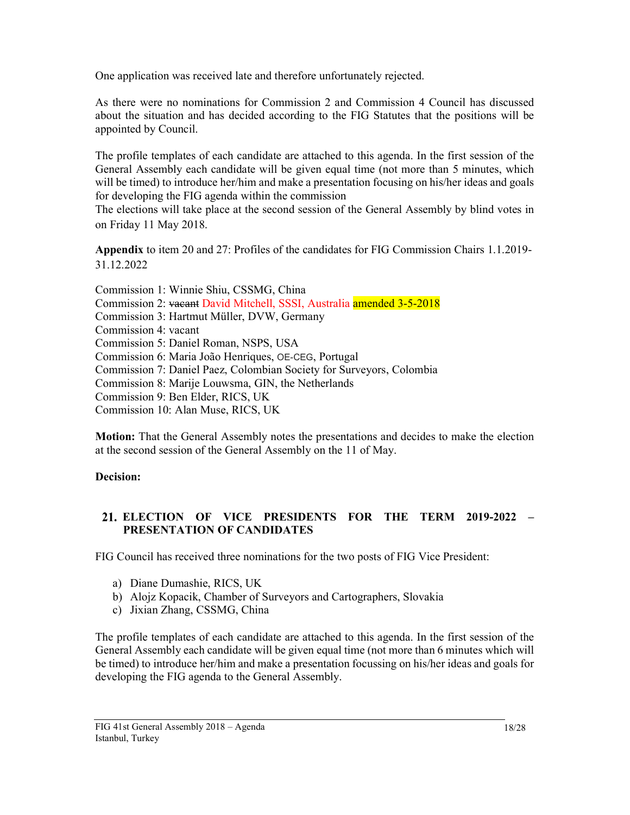One application was received late and therefore unfortunately rejected.

As there were no nominations for Commission 2 and Commission 4 Council has discussed about the situation and has decided according to the FIG Statutes that the positions will be appointed by Council.

The profile templates of each candidate are attached to this agenda. In the first session of the General Assembly each candidate will be given equal time (not more than 5 minutes, which will be timed) to introduce her/him and make a presentation focusing on his/her ideas and goals for developing the FIG agenda within the commission

The elections will take place at the second session of the General Assembly by blind votes in on Friday 11 May 2018.

Appendix to item 20 and 27: Profiles of the candidates for FIG Commission Chairs 1.1.2019- 31.12.2022

Commission 1: Winnie Shiu, CSSMG, China Commission 2: vacant David Mitchell, SSSI, Australia amended 3-5-2018 Commission 3: Hartmut Müller, DVW, Germany Commission 4: vacant Commission 5: Daniel Roman, NSPS, USA Commission 6: Maria João Henriques, OE-CEG, Portugal Commission 7: Daniel Paez, Colombian Society for Surveyors, Colombia Commission 8: Marije Louwsma, GIN, the Netherlands Commission 9: Ben Elder, RICS, UK Commission 10: Alan Muse, RICS, UK

Motion: That the General Assembly notes the presentations and decides to make the election at the second session of the General Assembly on the 11 of May.

### Decision:

## ELECTION OF VICE PRESIDENTS FOR THE TERM 2019-2022 – PRESENTATION OF CANDIDATES

FIG Council has received three nominations for the two posts of FIG Vice President:

- a) Diane Dumashie, RICS, UK
- b) Alojz Kopacik, Chamber of Surveyors and Cartographers, Slovakia
- c) Jixian Zhang, CSSMG, China

The profile templates of each candidate are attached to this agenda. In the first session of the General Assembly each candidate will be given equal time (not more than 6 minutes which will be timed) to introduce her/him and make a presentation focussing on his/her ideas and goals for developing the FIG agenda to the General Assembly.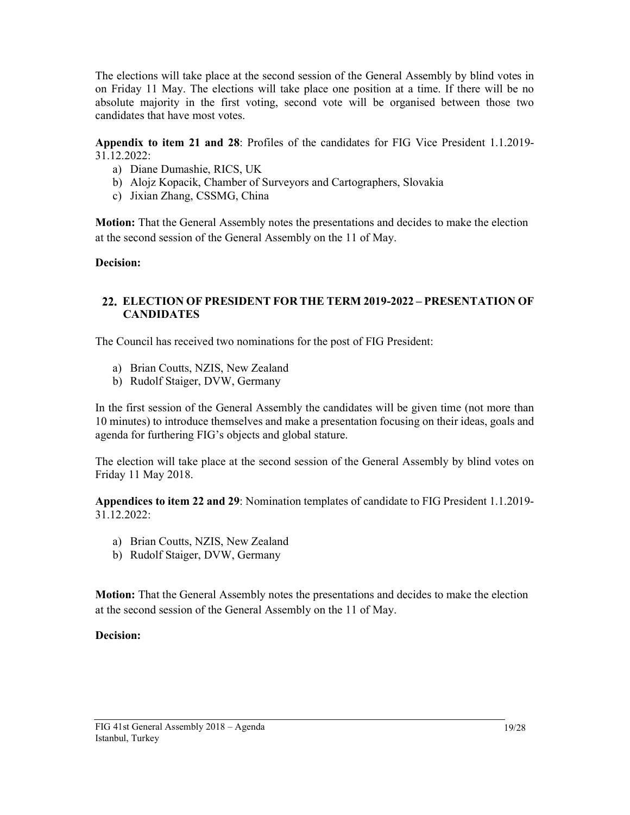The elections will take place at the second session of the General Assembly by blind votes in on Friday 11 May. The elections will take place one position at a time. If there will be no absolute majority in the first voting, second vote will be organised between those two candidates that have most votes.

Appendix to item 21 and 28: Profiles of the candidates for FIG Vice President 1.1.2019- 31.12.2022:

- a) Diane Dumashie, RICS, UK
- b) Alojz Kopacik, Chamber of Surveyors and Cartographers, Slovakia
- c) Jixian Zhang, CSSMG, China

Motion: That the General Assembly notes the presentations and decides to make the election at the second session of the General Assembly on the 11 of May.

Decision:

## ELECTION OF PRESIDENT FOR THE TERM 2019-2022 – PRESENTATION OF **CANDIDATES**

The Council has received two nominations for the post of FIG President:

- a) Brian Coutts, NZIS, New Zealand
- b) Rudolf Staiger, DVW, Germany

In the first session of the General Assembly the candidates will be given time (not more than 10 minutes) to introduce themselves and make a presentation focusing on their ideas, goals and agenda for furthering FIG's objects and global stature.

The election will take place at the second session of the General Assembly by blind votes on Friday 11 May 2018.

Appendices to item 22 and 29: Nomination templates of candidate to FIG President 1.1.2019- 31.12.2022:

- a) Brian Coutts, NZIS, New Zealand
- b) Rudolf Staiger, DVW, Germany

Motion: That the General Assembly notes the presentations and decides to make the election at the second session of the General Assembly on the 11 of May.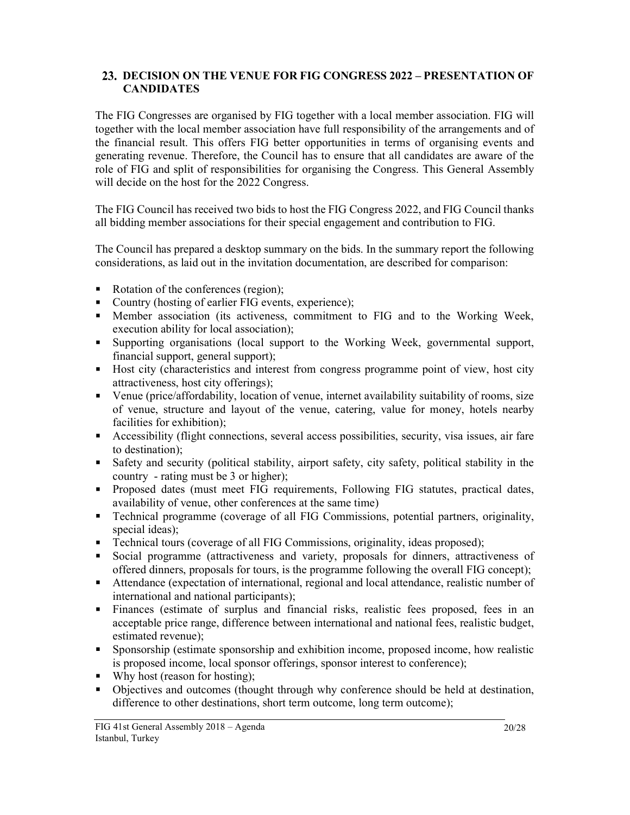### 23. DECISION ON THE VENUE FOR FIG CONGRESS 2022 – PRESENTATION OF **CANDIDATES**

The FIG Congresses are organised by FIG together with a local member association. FIG will together with the local member association have full responsibility of the arrangements and of the financial result. This offers FIG better opportunities in terms of organising events and generating revenue. Therefore, the Council has to ensure that all candidates are aware of the role of FIG and split of responsibilities for organising the Congress. This General Assembly will decide on the host for the 2022 Congress.

The FIG Council has received two bids to host the FIG Congress 2022, and FIG Council thanks all bidding member associations for their special engagement and contribution to FIG.

The Council has prepared a desktop summary on the bids. In the summary report the following considerations, as laid out in the invitation documentation, are described for comparison:

- Rotation of the conferences (region);
- Country (hosting of earlier FIG events, experience);
- Member association (its activeness, commitment to FIG and to the Working Week, execution ability for local association);
- Supporting organisations (local support to the Working Week, governmental support, financial support, general support);
- Host city (characteristics and interest from congress programme point of view, host city attractiveness, host city offerings);
- Venue (price/affordability, location of venue, internet availability suitability of rooms, size of venue, structure and layout of the venue, catering, value for money, hotels nearby facilities for exhibition);
- Accessibility (flight connections, several access possibilities, security, visa issues, air fare to destination);
- Safety and security (political stability, airport safety, city safety, political stability in the country - rating must be 3 or higher);
- **Proposed dates (must meet FIG requirements, Following FIG statutes, practical dates,** availability of venue, other conferences at the same time)
- **Technical programme (coverage of all FIG Commissions, potential partners, originality,** special ideas):
- **Technical tours (coverage of all FIG Commissions, originality, ideas proposed);**
- Social programme (attractiveness and variety, proposals for dinners, attractiveness of offered dinners, proposals for tours, is the programme following the overall FIG concept);
- Attendance (expectation of international, regional and local attendance, realistic number of international and national participants);
- Finances (estimate of surplus and financial risks, realistic fees proposed, fees in an acceptable price range, difference between international and national fees, realistic budget, estimated revenue);
- Sponsorship (estimate sponsorship and exhibition income, proposed income, how realistic is proposed income, local sponsor offerings, sponsor interest to conference);
- $\blacksquare$  Why host (reason for hosting);
- Objectives and outcomes (thought through why conference should be held at destination, difference to other destinations, short term outcome, long term outcome);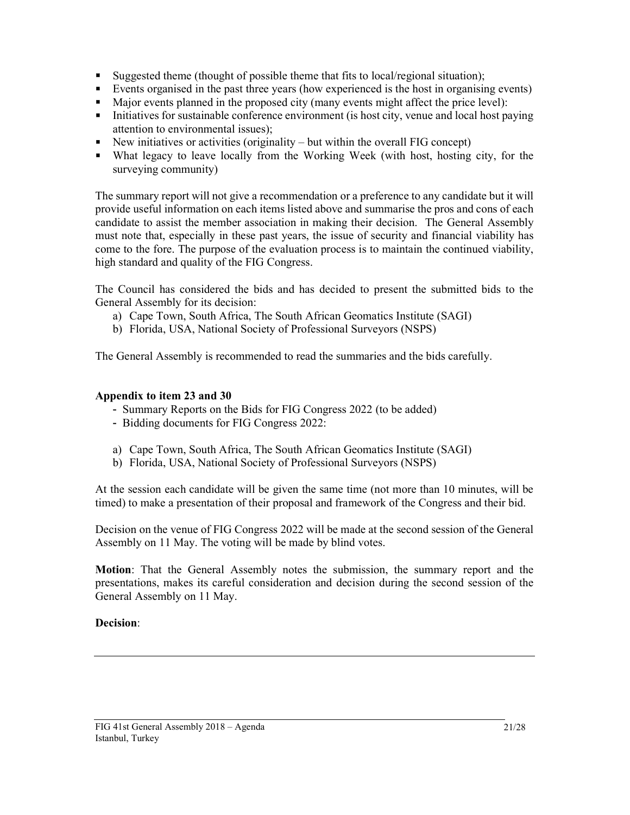- Suggested theme (thought of possible theme that fits to local/regional situation);
- Events organised in the past three years (how experienced is the host in organising events)
- Major events planned in the proposed city (many events might affect the price level):
- $\blacksquare$  Initiatives for sustainable conference environment (is host city, venue and local host paying attention to environmental issues);
- New initiatives or activities (originality but within the overall FIG concept)
- What legacy to leave locally from the Working Week (with host, hosting city, for the surveying community)

The summary report will not give a recommendation or a preference to any candidate but it will provide useful information on each items listed above and summarise the pros and cons of each candidate to assist the member association in making their decision. The General Assembly must note that, especially in these past years, the issue of security and financial viability has come to the fore. The purpose of the evaluation process is to maintain the continued viability, high standard and quality of the FIG Congress.

The Council has considered the bids and has decided to present the submitted bids to the General Assembly for its decision:

- a) Cape Town, South Africa, The South African Geomatics Institute (SAGI)
- b) Florida, USA, National Society of Professional Surveyors (NSPS)

The General Assembly is recommended to read the summaries and the bids carefully.

### Appendix to item 23 and 30

- Summary Reports on the Bids for FIG Congress 2022 (to be added)
- Bidding documents for FIG Congress 2022:
- a) Cape Town, South Africa, The South African Geomatics Institute (SAGI)
- b) Florida, USA, National Society of Professional Surveyors (NSPS)

At the session each candidate will be given the same time (not more than 10 minutes, will be timed) to make a presentation of their proposal and framework of the Congress and their bid.

Decision on the venue of FIG Congress 2022 will be made at the second session of the General Assembly on 11 May. The voting will be made by blind votes.

Motion: That the General Assembly notes the submission, the summary report and the presentations, makes its careful consideration and decision during the second session of the General Assembly on 11 May.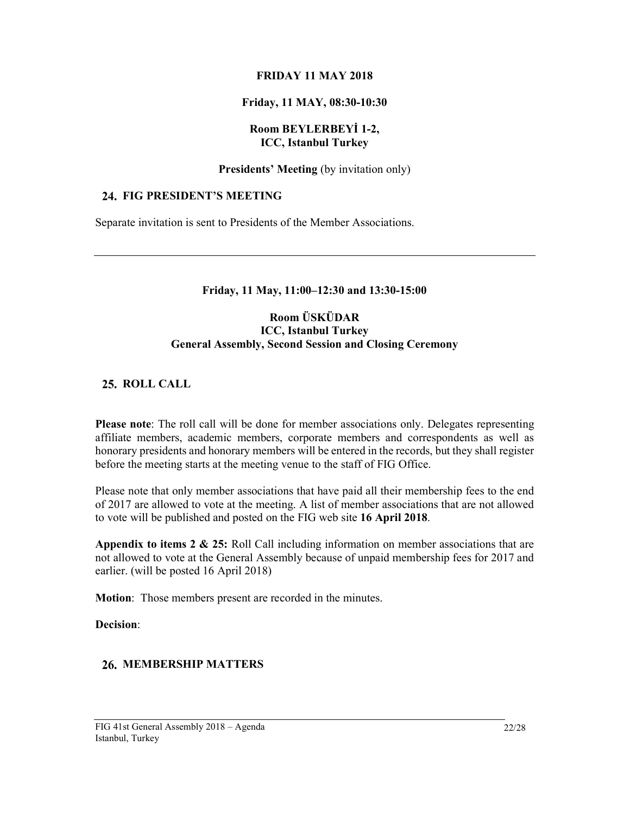#### FRIDAY 11 MAY 2018

### Friday, 11 MAY, 08:30-10:30

#### Room BEYLERBEYİ 1-2, ICC, Istanbul Turkey

#### Presidents' Meeting (by invitation only)

#### 24. FIG PRESIDENT'S MEETING

Separate invitation is sent to Presidents of the Member Associations.

#### Friday, 11 May, 11:00–12:30 and 13:30-15:00

### Room ÜSKÜDAR ICC, Istanbul Turkey General Assembly, Second Session and Closing Ceremony

## 25. ROLL CALL

Please note: The roll call will be done for member associations only. Delegates representing affiliate members, academic members, corporate members and correspondents as well as honorary presidents and honorary members will be entered in the records, but they shall register before the meeting starts at the meeting venue to the staff of FIG Office.

Please note that only member associations that have paid all their membership fees to the end of 2017 are allowed to vote at the meeting. A list of member associations that are not allowed to vote will be published and posted on the FIG web site 16 April 2018.

Appendix to items  $2 \& 25$ : Roll Call including information on member associations that are not allowed to vote at the General Assembly because of unpaid membership fees for 2017 and earlier. (will be posted 16 April 2018)

Motion: Those members present are recorded in the minutes.

Decision:

# 26. MEMBERSHIP MATTERS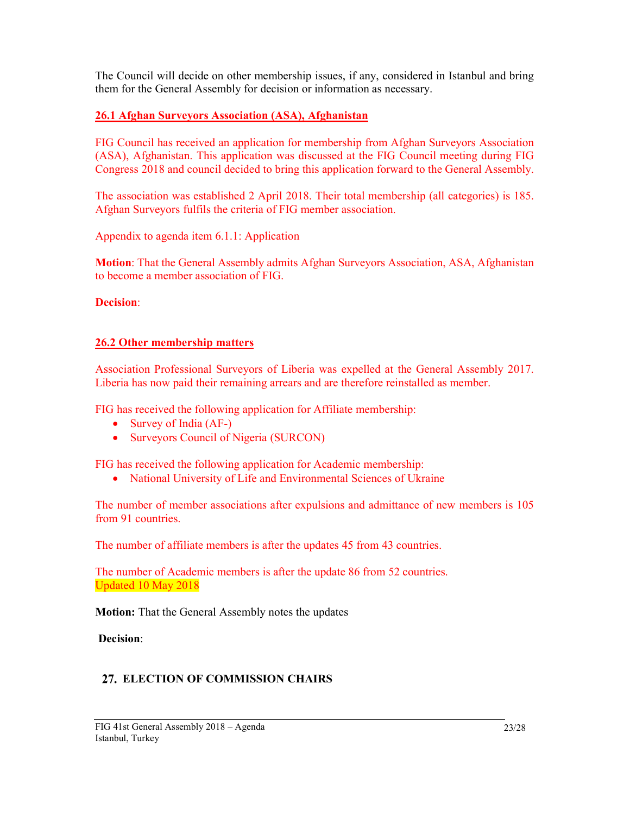The Council will decide on other membership issues, if any, considered in Istanbul and bring them for the General Assembly for decision or information as necessary.

## 26.1 Afghan Surveyors Association (ASA), Afghanistan

FIG Council has received an application for membership from Afghan Surveyors Association (ASA), Afghanistan. This application was discussed at the FIG Council meeting during FIG Congress 2018 and council decided to bring this application forward to the General Assembly.

The association was established 2 April 2018. Their total membership (all categories) is 185. Afghan Surveyors fulfils the criteria of FIG member association.

Appendix to agenda item 6.1.1: Application

Motion: That the General Assembly admits Afghan Surveyors Association, ASA, Afghanistan to become a member association of FIG.

#### Decision:

### 26.2 Other membership matters

Association Professional Surveyors of Liberia was expelled at the General Assembly 2017. Liberia has now paid their remaining arrears and are therefore reinstalled as member.

FIG has received the following application for Affiliate membership:

- Survey of India (AF-)
- Surveyors Council of Nigeria (SURCON)

FIG has received the following application for Academic membership:

National University of Life and Environmental Sciences of Ukraine

The number of member associations after expulsions and admittance of new members is 105 from 91 countries.

The number of affiliate members is after the updates 45 from 43 countries.

The number of Academic members is after the update 86 from 52 countries. Updated 10 May 2018

Motion: That the General Assembly notes the updates

Decision:

### 27. ELECTION OF COMMISSION CHAIRS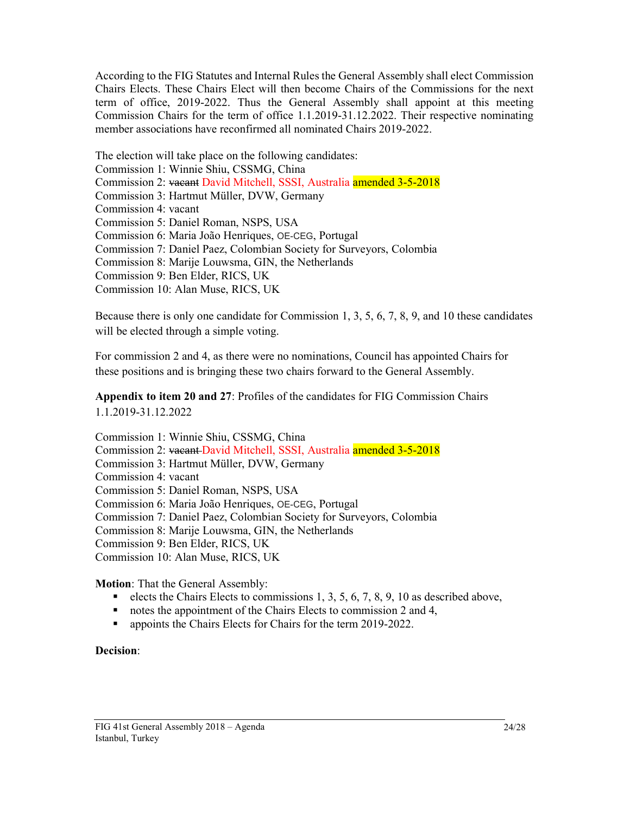According to the FIG Statutes and Internal Rules the General Assembly shall elect Commission Chairs Elects. These Chairs Elect will then become Chairs of the Commissions for the next term of office, 2019-2022. Thus the General Assembly shall appoint at this meeting Commission Chairs for the term of office 1.1.2019-31.12.2022. Their respective nominating member associations have reconfirmed all nominated Chairs 2019-2022.

The election will take place on the following candidates: Commission 1: Winnie Shiu, CSSMG, China Commission 2: vacant David Mitchell, SSSI, Australia amended 3-5-2018 Commission 3: Hartmut Müller, DVW, Germany Commission 4: vacant Commission 5: Daniel Roman, NSPS, USA Commission 6: Maria João Henriques, OE-CEG, Portugal Commission 7: Daniel Paez, Colombian Society for Surveyors, Colombia Commission 8: Marije Louwsma, GIN, the Netherlands Commission 9: Ben Elder, RICS, UK Commission 10: Alan Muse, RICS, UK

Because there is only one candidate for Commission 1, 3, 5, 6, 7, 8, 9, and 10 these candidates will be elected through a simple voting.

For commission 2 and 4, as there were no nominations, Council has appointed Chairs for these positions and is bringing these two chairs forward to the General Assembly.

Appendix to item 20 and 27: Profiles of the candidates for FIG Commission Chairs 1.1.2019-31.12.2022

Commission 1: Winnie Shiu, CSSMG, China Commission 2: vacant David Mitchell, SSSI, Australia amended 3-5-2018 Commission 3: Hartmut Müller, DVW, Germany Commission 4: vacant Commission 5: Daniel Roman, NSPS, USA Commission 6: Maria João Henriques, OE-CEG, Portugal Commission 7: Daniel Paez, Colombian Society for Surveyors, Colombia Commission 8: Marije Louwsma, GIN, the Netherlands Commission 9: Ben Elder, RICS, UK Commission 10: Alan Muse, RICS, UK

Motion: That the General Assembly:

- elects the Chairs Elects to commissions 1, 3, 5, 6, 7, 8, 9, 10 as described above,
- notes the appointment of the Chairs Elects to commission 2 and 4,
- **appoints the Chairs Elects for Chairs for the term 2019-2022.**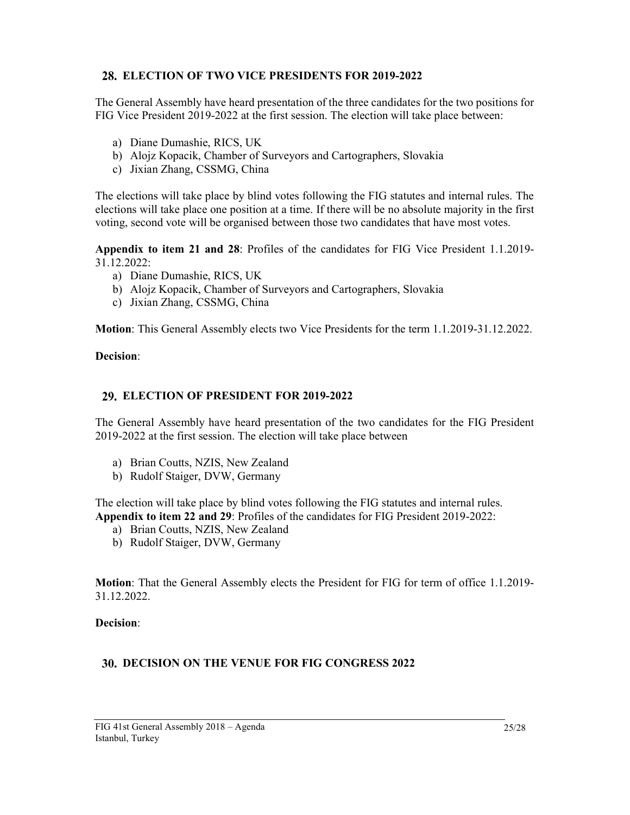## ELECTION OF TWO VICE PRESIDENTS FOR 2019-2022

The General Assembly have heard presentation of the three candidates for the two positions for FIG Vice President 2019-2022 at the first session. The election will take place between:

- a) Diane Dumashie, RICS, UK
- b) Alojz Kopacik, Chamber of Surveyors and Cartographers, Slovakia
- c) Jixian Zhang, CSSMG, China

The elections will take place by blind votes following the FIG statutes and internal rules. The elections will take place one position at a time. If there will be no absolute majority in the first voting, second vote will be organised between those two candidates that have most votes.

Appendix to item 21 and 28: Profiles of the candidates for FIG Vice President 1.1.2019- 31.12.2022:

- a) Diane Dumashie, RICS, UK
- b) Alojz Kopacik, Chamber of Surveyors and Cartographers, Slovakia
- c) Jixian Zhang, CSSMG, China

Motion: This General Assembly elects two Vice Presidents for the term 1.1.2019-31.12.2022.

#### Decision:

### ELECTION OF PRESIDENT FOR 2019-2022

The General Assembly have heard presentation of the two candidates for the FIG President 2019-2022 at the first session. The election will take place between

- a) Brian Coutts, NZIS, New Zealand
- b) Rudolf Staiger, DVW, Germany

The election will take place by blind votes following the FIG statutes and internal rules. Appendix to item 22 and 29: Profiles of the candidates for FIG President 2019-2022:

- a) Brian Coutts, NZIS, New Zealand
- b) Rudolf Staiger, DVW, Germany

Motion: That the General Assembly elects the President for FIG for term of office 1.1.2019- 31.12.2022.

Decision:

### DECISION ON THE VENUE FOR FIG CONGRESS 2022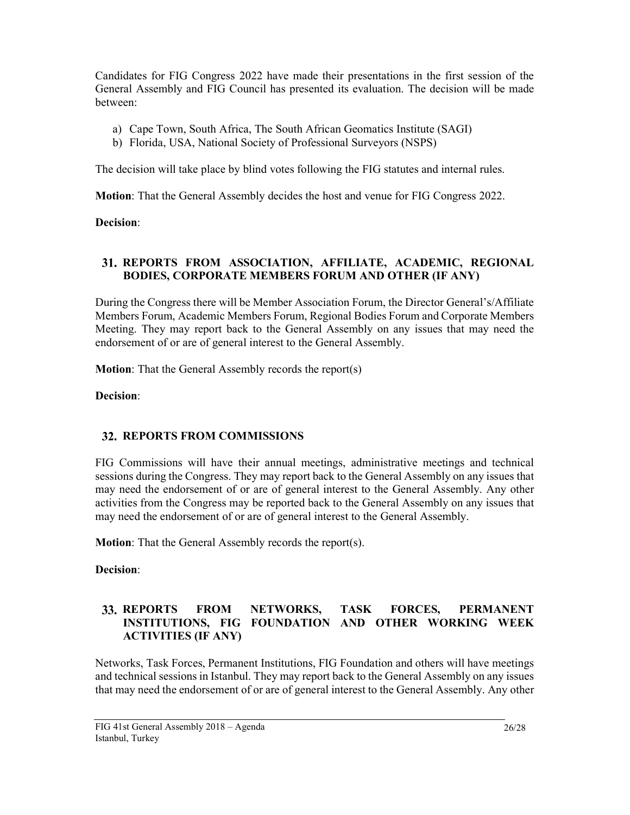Candidates for FIG Congress 2022 have made their presentations in the first session of the General Assembly and FIG Council has presented its evaluation. The decision will be made between:

- a) Cape Town, South Africa, The South African Geomatics Institute (SAGI)
- b) Florida, USA, National Society of Professional Surveyors (NSPS)

The decision will take place by blind votes following the FIG statutes and internal rules.

Motion: That the General Assembly decides the host and venue for FIG Congress 2022.

Decision:

## REPORTS FROM ASSOCIATION, AFFILIATE, ACADEMIC, REGIONAL BODIES, CORPORATE MEMBERS FORUM AND OTHER (IF ANY)

During the Congress there will be Member Association Forum, the Director General's/Affiliate Members Forum, Academic Members Forum, Regional Bodies Forum and Corporate Members Meeting. They may report back to the General Assembly on any issues that may need the endorsement of or are of general interest to the General Assembly.

Motion: That the General Assembly records the report(s)

Decision:

# **32. REPORTS FROM COMMISSIONS**

FIG Commissions will have their annual meetings, administrative meetings and technical sessions during the Congress. They may report back to the General Assembly on any issues that may need the endorsement of or are of general interest to the General Assembly. Any other activities from the Congress may be reported back to the General Assembly on any issues that may need the endorsement of or are of general interest to the General Assembly.

Motion: That the General Assembly records the report(s).

Decision:

## 33. REPORTS FROM NETWORKS, TASK FORCES, PERMANENT INSTITUTIONS, FIG FOUNDATION AND OTHER WORKING WEEK ACTIVITIES (IF ANY)

Networks, Task Forces, Permanent Institutions, FIG Foundation and others will have meetings and technical sessions in Istanbul. They may report back to the General Assembly on any issues that may need the endorsement of or are of general interest to the General Assembly. Any other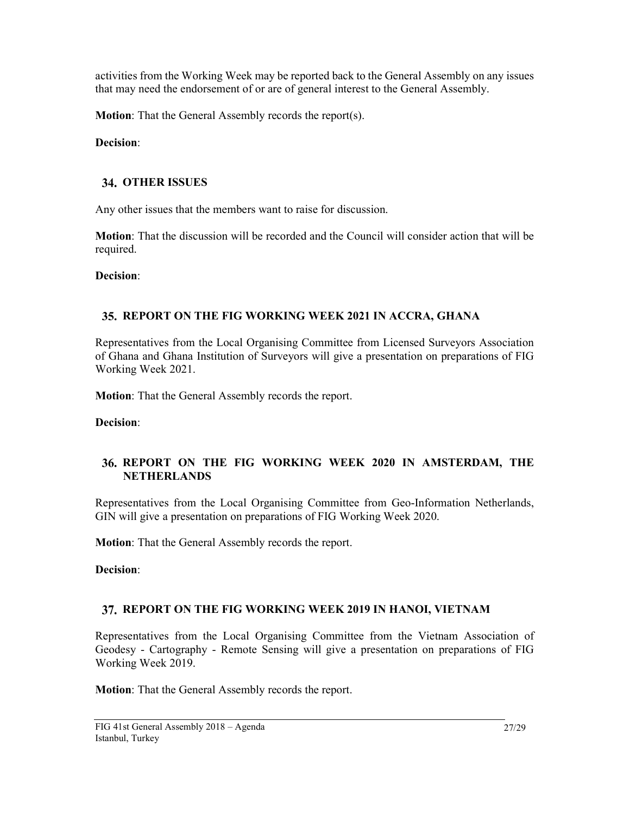activities from the Working Week may be reported back to the General Assembly on any issues that may need the endorsement of or are of general interest to the General Assembly.

Motion: That the General Assembly records the report(s).

Decision:

## **34. OTHER ISSUES**

Any other issues that the members want to raise for discussion.

Motion: That the discussion will be recorded and the Council will consider action that will be required.

Decision:

## 35. REPORT ON THE FIG WORKING WEEK 2021 IN ACCRA, GHANA

Representatives from the Local Organising Committee from Licensed Surveyors Association of Ghana and Ghana Institution of Surveyors will give a presentation on preparations of FIG Working Week 2021.

Motion: That the General Assembly records the report.

Decision:

## REPORT ON THE FIG WORKING WEEK 2020 IN AMSTERDAM, THE **NETHERLANDS**

Representatives from the Local Organising Committee from Geo-Information Netherlands, GIN will give a presentation on preparations of FIG Working Week 2020.

Motion: That the General Assembly records the report.

Decision:

### 37. REPORT ON THE FIG WORKING WEEK 2019 IN HANOI, VIETNAM

Representatives from the Local Organising Committee from the Vietnam Association of Geodesy - Cartography - Remote Sensing will give a presentation on preparations of FIG Working Week 2019.

Motion: That the General Assembly records the report.